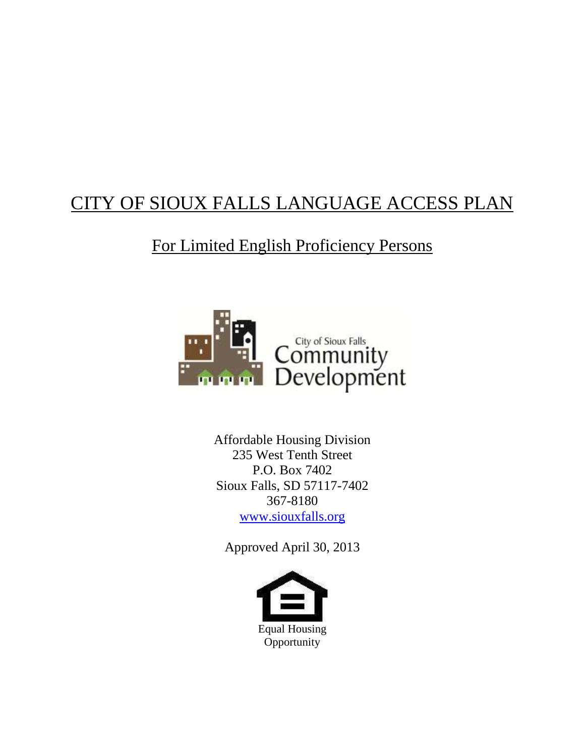# CITY OF SIOUX FALLS LANGUAGE ACCESS PLAN

## For Limited English Proficiency Persons



Affordable Housing Division 235 West Tenth Street P.O. Box 7402 Sioux Falls, SD 57117-7402 367-8180 [www.siouxfalls.org](http://www.siouxfalls.org/)

Approved April 30, 2013

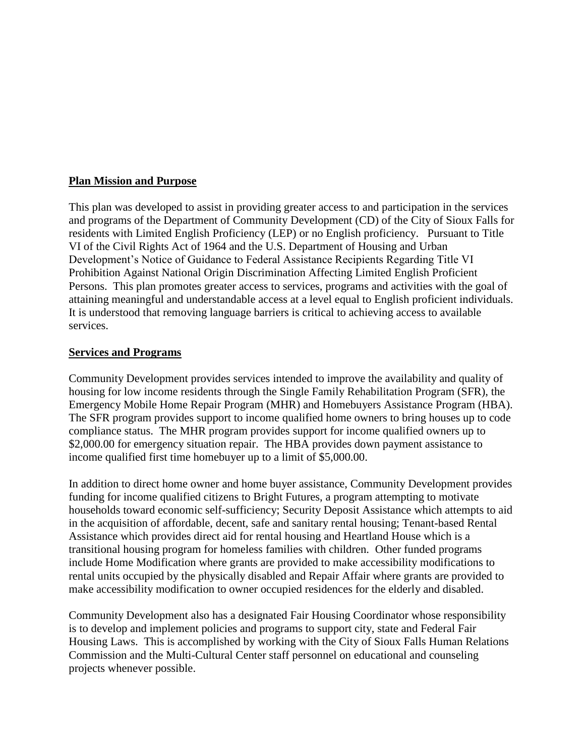#### **Plan Mission and Purpose**

This plan was developed to assist in providing greater access to and participation in the services and programs of the Department of Community Development (CD) of the City of Sioux Falls for residents with Limited English Proficiency (LEP) or no English proficiency. Pursuant to Title VI of the Civil Rights Act of 1964 and the U.S. Department of Housing and Urban Development's Notice of Guidance to Federal Assistance Recipients Regarding Title VI Prohibition Against National Origin Discrimination Affecting Limited English Proficient Persons. This plan promotes greater access to services, programs and activities with the goal of attaining meaningful and understandable access at a level equal to English proficient individuals. It is understood that removing language barriers is critical to achieving access to available services.

#### **Services and Programs**

Community Development provides services intended to improve the availability and quality of housing for low income residents through the Single Family Rehabilitation Program (SFR), the Emergency Mobile Home Repair Program (MHR) and Homebuyers Assistance Program (HBA). The SFR program provides support to income qualified home owners to bring houses up to code compliance status. The MHR program provides support for income qualified owners up to \$2,000.00 for emergency situation repair. The HBA provides down payment assistance to income qualified first time homebuyer up to a limit of \$5,000.00.

In addition to direct home owner and home buyer assistance, Community Development provides funding for income qualified citizens to Bright Futures, a program attempting to motivate households toward economic self-sufficiency; Security Deposit Assistance which attempts to aid in the acquisition of affordable, decent, safe and sanitary rental housing; Tenant-based Rental Assistance which provides direct aid for rental housing and Heartland House which is a transitional housing program for homeless families with children. Other funded programs include Home Modification where grants are provided to make accessibility modifications to rental units occupied by the physically disabled and Repair Affair where grants are provided to make accessibility modification to owner occupied residences for the elderly and disabled.

Community Development also has a designated Fair Housing Coordinator whose responsibility is to develop and implement policies and programs to support city, state and Federal Fair Housing Laws. This is accomplished by working with the City of Sioux Falls Human Relations Commission and the Multi-Cultural Center staff personnel on educational and counseling projects whenever possible.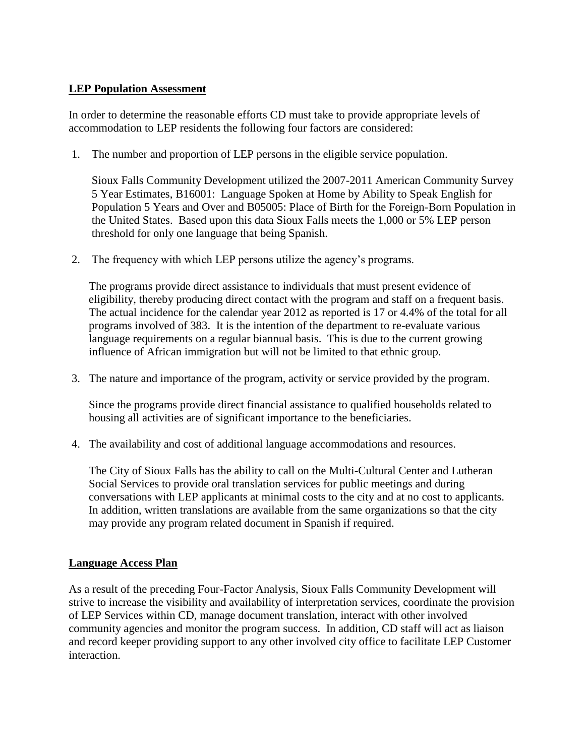### **LEP Population Assessment**

In order to determine the reasonable efforts CD must take to provide appropriate levels of accommodation to LEP residents the following four factors are considered:

1. The number and proportion of LEP persons in the eligible service population.

Sioux Falls Community Development utilized the 2007-2011 American Community Survey 5 Year Estimates, B16001: Language Spoken at Home by Ability to Speak English for Population 5 Years and Over and B05005: Place of Birth for the Foreign-Born Population in the United States. Based upon this data Sioux Falls meets the 1,000 or 5% LEP person threshold for only one language that being Spanish.

2. The frequency with which LEP persons utilize the agency's programs.

The programs provide direct assistance to individuals that must present evidence of eligibility, thereby producing direct contact with the program and staff on a frequent basis. The actual incidence for the calendar year 2012 as reported is 17 or 4.4% of the total for all programs involved of 383. It is the intention of the department to re-evaluate various language requirements on a regular biannual basis. This is due to the current growing influence of African immigration but will not be limited to that ethnic group.

3. The nature and importance of the program, activity or service provided by the program.

Since the programs provide direct financial assistance to qualified households related to housing all activities are of significant importance to the beneficiaries.

4. The availability and cost of additional language accommodations and resources.

The City of Sioux Falls has the ability to call on the Multi-Cultural Center and Lutheran Social Services to provide oral translation services for public meetings and during conversations with LEP applicants at minimal costs to the city and at no cost to applicants. In addition, written translations are available from the same organizations so that the city may provide any program related document in Spanish if required.

#### **Language Access Plan**

As a result of the preceding Four-Factor Analysis, Sioux Falls Community Development will strive to increase the visibility and availability of interpretation services, coordinate the provision of LEP Services within CD, manage document translation, interact with other involved community agencies and monitor the program success. In addition, CD staff will act as liaison and record keeper providing support to any other involved city office to facilitate LEP Customer interaction.